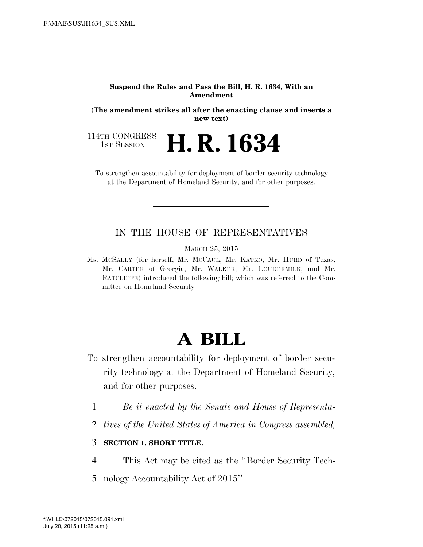#### **Suspend the Rules and Pass the Bill, H. R. 1634, With an Amendment**

**(The amendment strikes all after the enacting clause and inserts a new text)** 

**H. R. 1634** 

114TH CONGRESS<br>1st Session

To strengthen accountability for deployment of border security technology at the Department of Homeland Security, and for other purposes.

#### IN THE HOUSE OF REPRESENTATIVES

MARCH 25, 2015

Ms. MCSALLY (for herself, Mr. MCCAUL, Mr. KATKO, Mr. HURD of Texas, Mr. CARTER of Georgia, Mr. WALKER, Mr. LOUDERMILK, and Mr. RATCLIFFE) introduced the following bill; which was referred to the Committee on Homeland Security

# **A BILL**

- To strengthen accountability for deployment of border security technology at the Department of Homeland Security, and for other purposes.
	- 1 *Be it enacted by the Senate and House of Representa-*
	- 2 *tives of the United States of America in Congress assembled,*

### 3 **SECTION 1. SHORT TITLE.**

- 4 This Act may be cited as the ''Border Security Tech-
- 5 nology Accountability Act of 2015''.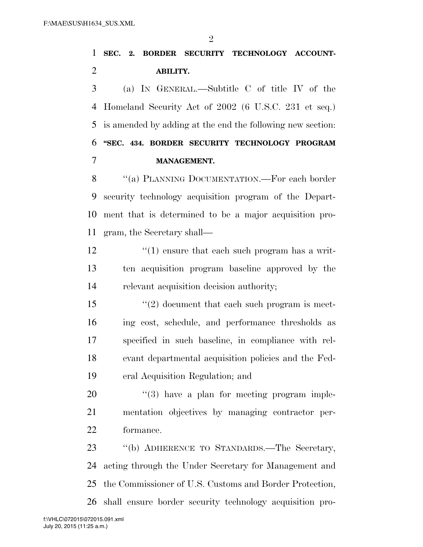$\mathfrak{D}$ 

## **SEC. 2. BORDER SECURITY TECHNOLOGY ACCOUNT-ABILITY.**

 (a) IN GENERAL.—Subtitle C of title IV of the Homeland Security Act of 2002 (6 U.S.C. 231 et seq.) is amended by adding at the end the following new section: **''SEC. 434. BORDER SECURITY TECHNOLOGY PROGRAM MANAGEMENT.** 

8 "(a) PLANNING DOCUMENTATION.—For each border security technology acquisition program of the Depart- ment that is determined to be a major acquisition pro-gram, the Secretary shall—

 $\frac{12}{12}$  ''(1) ensure that each such program has a writ- ten acquisition program baseline approved by the relevant acquisition decision authority;

 ''(2) document that each such program is meet- ing cost, schedule, and performance thresholds as specified in such baseline, in compliance with rel- evant departmental acquisition policies and the Fed-eral Acquisition Regulation; and

  $(3)$  have a plan for meeting program imple- mentation objectives by managing contractor per-formance.

 ''(b) ADHERENCE TO STANDARDS.—The Secretary, acting through the Under Secretary for Management and the Commissioner of U.S. Customs and Border Protection, shall ensure border security technology acquisition pro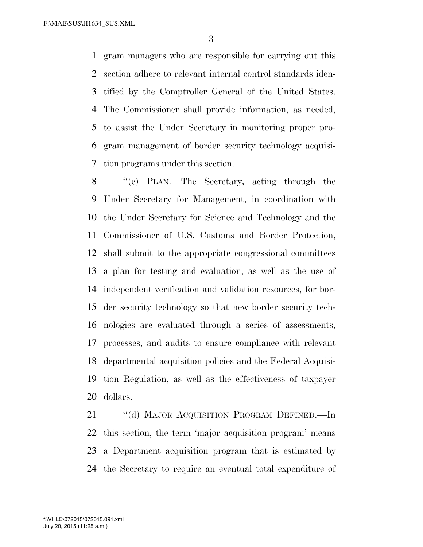F:\MAE\SUS\H1634\_SUS.XML

 gram managers who are responsible for carrying out this section adhere to relevant internal control standards iden- tified by the Comptroller General of the United States. The Commissioner shall provide information, as needed, to assist the Under Secretary in monitoring proper pro- gram management of border security technology acquisi-tion programs under this section.

 ''(c) PLAN.—The Secretary, acting through the Under Secretary for Management, in coordination with the Under Secretary for Science and Technology and the Commissioner of U.S. Customs and Border Protection, shall submit to the appropriate congressional committees a plan for testing and evaluation, as well as the use of independent verification and validation resources, for bor- der security technology so that new border security tech- nologies are evaluated through a series of assessments, processes, and audits to ensure compliance with relevant departmental acquisition policies and the Federal Acquisi- tion Regulation, as well as the effectiveness of taxpayer dollars.

21 "(d) MAJOR ACQUISITION PROGRAM DEFINED.—In this section, the term 'major acquisition program' means a Department acquisition program that is estimated by the Secretary to require an eventual total expenditure of